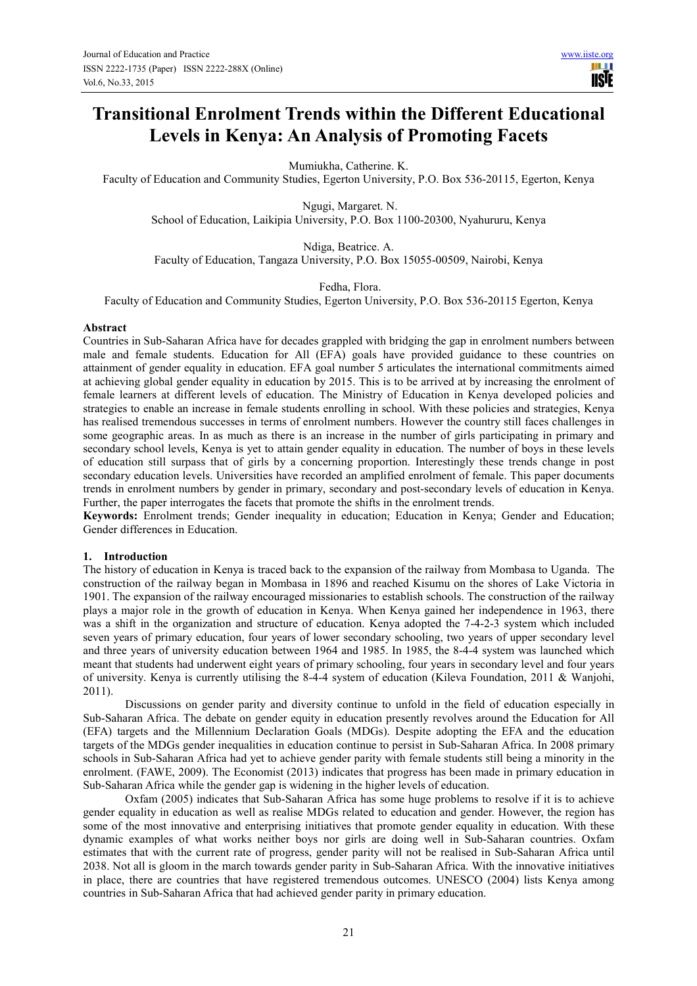# **Transitional Enrolment Trends within the Different Educational Levels in Kenya: An Analysis of Promoting Facets**

Mumiukha, Catherine. K.

Faculty of Education and Community Studies, Egerton University, P.O. Box 536-20115, Egerton, Kenya

 Ngugi, Margaret. N. School of Education, Laikipia University, P.O. Box 1100-20300, Nyahururu, Kenya

Ndiga, Beatrice. A. Faculty of Education, Tangaza University, P.O. Box 15055-00509, Nairobi, Kenya

Fedha, Flora.

Faculty of Education and Community Studies, Egerton University, P.O. Box 536-20115 Egerton, Kenya

#### **Abstract**

Countries in Sub-Saharan Africa have for decades grappled with bridging the gap in enrolment numbers between male and female students. Education for All (EFA) goals have provided guidance to these countries on attainment of gender equality in education. EFA goal number 5 articulates the international commitments aimed at achieving global gender equality in education by 2015. This is to be arrived at by increasing the enrolment of female learners at different levels of education. The Ministry of Education in Kenya developed policies and strategies to enable an increase in female students enrolling in school. With these policies and strategies, Kenya has realised tremendous successes in terms of enrolment numbers. However the country still faces challenges in some geographic areas. In as much as there is an increase in the number of girls participating in primary and secondary school levels, Kenya is yet to attain gender equality in education. The number of boys in these levels of education still surpass that of girls by a concerning proportion. Interestingly these trends change in post secondary education levels. Universities have recorded an amplified enrolment of female. This paper documents trends in enrolment numbers by gender in primary, secondary and post-secondary levels of education in Kenya. Further, the paper interrogates the facets that promote the shifts in the enrolment trends.

**Keywords:** Enrolment trends; Gender inequality in education; Education in Kenya; Gender and Education; Gender differences in Education.

#### **1. Introduction**

The history of education in Kenya is traced back to the expansion of the railway from Mombasa to Uganda. The construction of the railway began in Mombasa in 1896 and reached Kisumu on the shores of Lake Victoria in 1901. The expansion of the railway encouraged missionaries to establish schools. The construction of the railway plays a major role in the growth of education in Kenya. When Kenya gained her independence in 1963, there was a shift in the organization and structure of education. Kenya adopted the 7-4-2-3 system which included seven years of primary education, four years of lower secondary schooling, two years of upper secondary level and three years of university education between 1964 and 1985. In 1985, the 8-4-4 system was launched which meant that students had underwent eight years of primary schooling, four years in secondary level and four years of university. Kenya is currently utilising the 8-4-4 system of education (Kileva Foundation, 2011 & Wanjohi, 2011).

Discussions on gender parity and diversity continue to unfold in the field of education especially in Sub-Saharan Africa. The debate on gender equity in education presently revolves around the Education for All (EFA) targets and the Millennium Declaration Goals (MDGs). Despite adopting the EFA and the education targets of the MDGs gender inequalities in education continue to persist in Sub-Saharan Africa. In 2008 primary schools in Sub-Saharan Africa had yet to achieve gender parity with female students still being a minority in the enrolment. (FAWE, 2009). The Economist (2013) indicates that progress has been made in primary education in Sub-Saharan Africa while the gender gap is widening in the higher levels of education.

Oxfam (2005) indicates that Sub-Saharan Africa has some huge problems to resolve if it is to achieve gender equality in education as well as realise MDGs related to education and gender. However, the region has some of the most innovative and enterprising initiatives that promote gender equality in education. With these dynamic examples of what works neither boys nor girls are doing well in Sub-Saharan countries. Oxfam estimates that with the current rate of progress, gender parity will not be realised in Sub-Saharan Africa until 2038. Not all is gloom in the march towards gender parity in Sub-Saharan Africa. With the innovative initiatives in place, there are countries that have registered tremendous outcomes. UNESCO (2004) lists Kenya among countries in Sub-Saharan Africa that had achieved gender parity in primary education.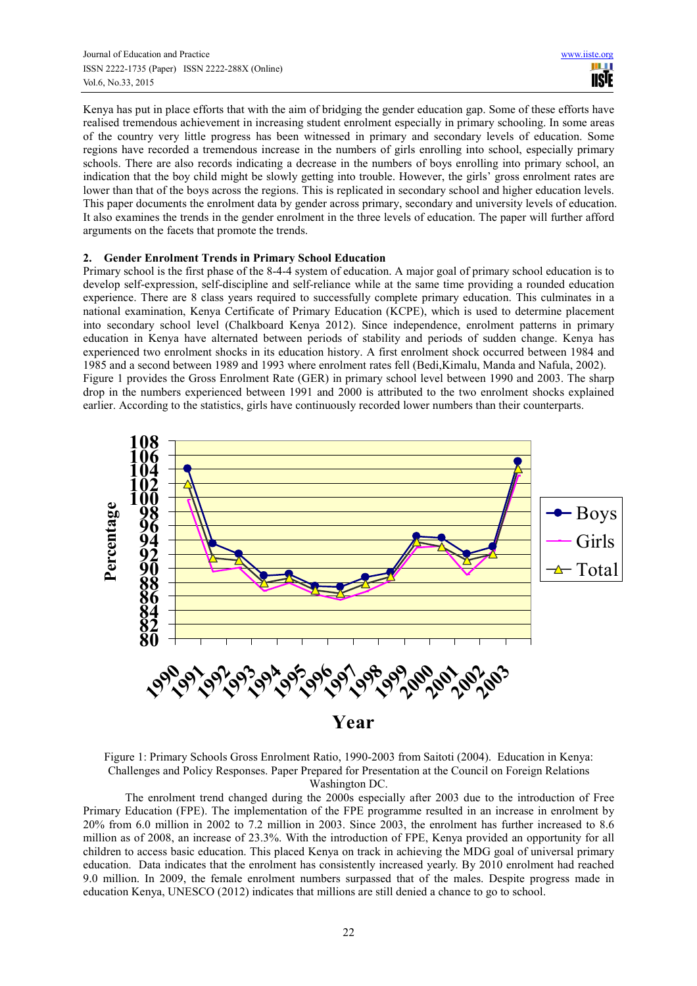Kenya has put in place efforts that with the aim of bridging the gender education gap. Some of these efforts have realised tremendous achievement in increasing student enrolment especially in primary schooling. In some areas of the country very little progress has been witnessed in primary and secondary levels of education. Some regions have recorded a tremendous increase in the numbers of girls enrolling into school, especially primary schools. There are also records indicating a decrease in the numbers of boys enrolling into primary school, an indication that the boy child might be slowly getting into trouble. However, the girls' gross enrolment rates are lower than that of the boys across the regions. This is replicated in secondary school and higher education levels. This paper documents the enrolment data by gender across primary, secondary and university levels of education. It also examines the trends in the gender enrolment in the three levels of education. The paper will further afford arguments on the facets that promote the trends.

### **2. Gender Enrolment Trends in Primary School Education**

Primary school is the first phase of the 8-4-4 system of education. A major goal of primary school education is to develop self-expression, self-discipline and self-reliance while at the same time providing a rounded education experience. There are 8 class years required to successfully complete primary education. This culminates in a national examination, Kenya Certificate of Primary Education (KCPE), which is used to determine placement into secondary school level (Chalkboard Kenya 2012). Since independence, enrolment patterns in primary education in Kenya have alternated between periods of stability and periods of sudden change. Kenya has experienced two enrolment shocks in its education history. A first enrolment shock occurred between 1984 and 1985 and a second between 1989 and 1993 where enrolment rates fell (Bedi,Kimalu, Manda and Nafula, 2002). Figure 1 provides the Gross Enrolment Rate (GER) in primary school level between 1990 and 2003. The sharp drop in the numbers experienced between 1991 and 2000 is attributed to the two enrolment shocks explained earlier. According to the statistics, girls have continuously recorded lower numbers than their counterparts.



Figure 1: Primary Schools Gross Enrolment Ratio, 1990-2003 from Saitoti (2004). Education in Kenya: Challenges and Policy Responses. Paper Prepared for Presentation at the Council on Foreign Relations Washington DC.

The enrolment trend changed during the 2000s especially after 2003 due to the introduction of Free Primary Education (FPE). The implementation of the FPE programme resulted in an increase in enrolment by 20% from 6.0 million in 2002 to 7.2 million in 2003. Since 2003, the enrolment has further increased to 8.6 million as of 2008, an increase of 23.3%. With the introduction of FPE, Kenya provided an opportunity for all children to access basic education. This placed Kenya on track in achieving the MDG goal of universal primary education. Data indicates that the enrolment has consistently increased yearly. By 2010 enrolment had reached 9.0 million. In 2009, the female enrolment numbers surpassed that of the males. Despite progress made in education Kenya, UNESCO (2012) indicates that millions are still denied a chance to go to school.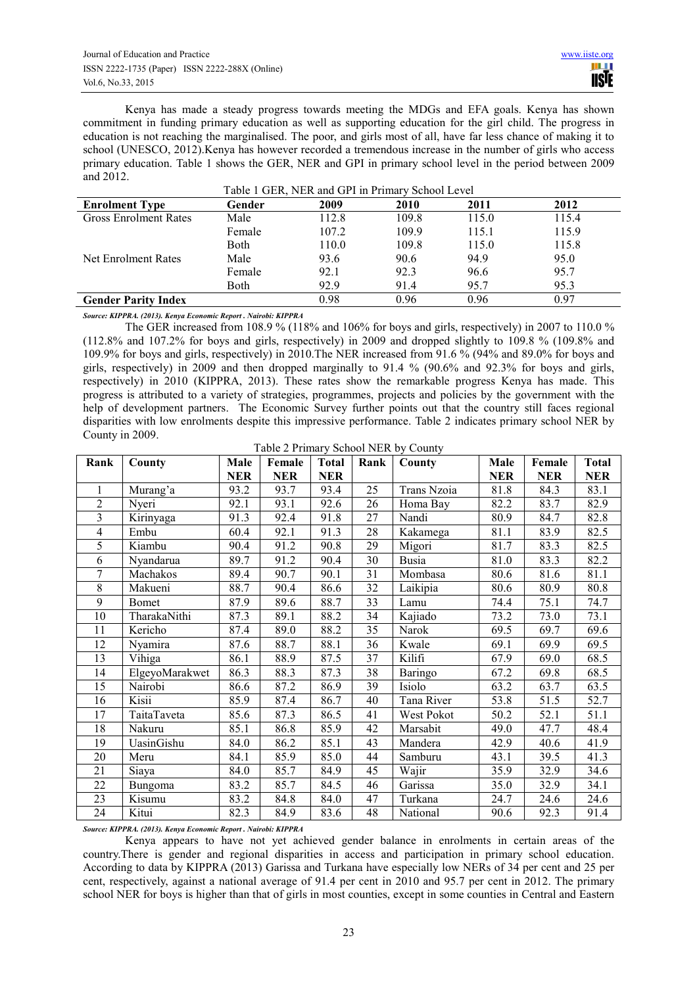Kenya has made a steady progress towards meeting the MDGs and EFA goals. Kenya has shown commitment in funding primary education as well as supporting education for the girl child. The progress in education is not reaching the marginalised. The poor, and girls most of all, have far less chance of making it to school (UNESCO, 2012).Kenya has however recorded a tremendous increase in the number of girls who access primary education. Table 1 shows the GER, NER and GPI in primary school level in the period between 2009 and 2012.

|                              |        | $\ldots$ |       |       |       |
|------------------------------|--------|----------|-------|-------|-------|
| <b>Enrolment Type</b>        | Gender | 2009     | 2010  | 2011  | 2012  |
| <b>Gross Enrolment Rates</b> | Male   | 112.8    | 109.8 | 115.0 | 115.4 |
|                              | Female | 107.2    | 109.9 | 115.1 | 115.9 |
|                              | Both   | 110.0    | 109.8 | 115.0 | 115.8 |
| Net Enrolment Rates          | Male   | 93.6     | 90.6  | 94.9  | 95.0  |
|                              | Female | 92.1     | 92.3  | 96.6  | 95.7  |
|                              | Both   | 92.9     | 91.4  | 95.7  | 95.3  |
| <b>Gender Parity Index</b>   |        | 0.98     | 0.96  | 0.96  | 0.97  |

| Table 1 GER, NER and GPI in Primary School Level |  |  |  |  |  |
|--------------------------------------------------|--|--|--|--|--|
|--------------------------------------------------|--|--|--|--|--|

*Source: KIPPRA. (2013). Kenya Economic Report . Nairobi: KIPPRA* 

The GER increased from 108.9 % (118% and 106% for boys and girls, respectively) in 2007 to 110.0 % (112.8% and 107.2% for boys and girls, respectively) in 2009 and dropped slightly to 109.8 % (109.8% and 109.9% for boys and girls, respectively) in 2010.The NER increased from 91.6 % (94% and 89.0% for boys and girls, respectively) in 2009 and then dropped marginally to 91.4 % (90.6% and 92.3% for boys and girls, respectively) in 2010 (KIPPRA, 2013). These rates show the remarkable progress Kenya has made. This progress is attributed to a variety of strategies, programmes, projects and policies by the government with the help of development partners. The Economic Survey further points out that the country still faces regional disparities with low enrolments despite this impressive performance. Table 2 indicates primary school NER by County in 2009.

| Rank                     | County         | Male       | Female     | <b>Total</b> | Rank | County      | Male       | Female     | <b>Total</b> |
|--------------------------|----------------|------------|------------|--------------|------|-------------|------------|------------|--------------|
|                          |                | <b>NER</b> | <b>NER</b> | <b>NER</b>   |      |             | <b>NER</b> | <b>NER</b> | <b>NER</b>   |
|                          | Murang'a       | 93.2       | 93.7       | 93.4         | 25   | Trans Nzoia | 81.8       | 84.3       | 83.1         |
| $\overline{c}$           | Nyeri          | 92.1       | 93.1       | 92.6         | 26   | Homa Bay    | 82.2       | 83.7       | 82.9         |
| $\overline{\mathbf{3}}$  | Kirinyaga      | 91.3       | 92.4       | 91.8         | 27   | Nandi       | 80.9       | 84.7       | 82.8         |
| $\overline{\mathcal{L}}$ | Embu           | 60.4       | 92.1       | 91.3         | 28   | Kakamega    | 81.1       | 83.9       | 82.5         |
| 5                        | Kiambu         | 90.4       | 91.2       | 90.8         | 29   | Migori      | 81.7       | 83.3       | 82.5         |
| 6                        | Nyandarua      | 89.7       | 91.2       | 90.4         | 30   | Busia       | 81.0       | 83.3       | 82.2         |
| 7                        | Machakos       | 89.4       | 90.7       | 90.1         | 31   | Mombasa     | 80.6       | 81.6       | 81.1         |
| 8                        | Makueni        | 88.7       | 90.4       | 86.6         | 32   | Laikipia    | 80.6       | 80.9       | 80.8         |
| 9                        | <b>Bomet</b>   | 87.9       | 89.6       | 88.7         | 33   | Lamu        | 74.4       | 75.1       | 74.7         |
| 10                       | TharakaNithi   | 87.3       | 89.1       | 88.2         | 34   | Kajiado     | 73.2       | 73.0       | 73.1         |
| 11                       | Kericho        | 87.4       | 89.0       | 88.2         | 35   | Narok       | 69.5       | 69.7       | 69.6         |
| 12                       | Nyamira        | 87.6       | 88.7       | 88.1         | 36   | Kwale       | 69.1       | 69.9       | 69.5         |
| 13                       | Vihiga         | 86.1       | 88.9       | 87.5         | 37   | Kilifi      | 67.9       | 69.0       | 68.5         |
| 14                       | ElgeyoMarakwet | 86.3       | 88.3       | 87.3         | 38   | Baringo     | 67.2       | 69.8       | 68.5         |
| 15                       | Nairobi        | 86.6       | 87.2       | 86.9         | 39   | Isiolo      | 63.2       | 63.7       | 63.5         |
| 16                       | Kisii          | 85.9       | 87.4       | 86.7         | 40   | Tana River  | 53.8       | 51.5       | 52.7         |
| 17                       | TaitaTaveta    | 85.6       | 87.3       | 86.5         | 41   | West Pokot  | 50.2       | 52.1       | 51.1         |
| 18                       | Nakuru         | 85.1       | 86.8       | 85.9         | 42   | Marsabit    | 49.0       | 47.7       | 48.4         |
| 19                       | UasinGishu     | 84.0       | 86.2       | 85.1         | 43   | Mandera     | 42.9       | 40.6       | 41.9         |
| 20                       | Meru           | 84.1       | 85.9       | 85.0         | 44   | Samburu     | 43.1       | 39.5       | 41.3         |
| 21                       | Siaya          | 84.0       | 85.7       | 84.9         | 45   | Wajir       | 35.9       | 32.9       | 34.6         |
| 22                       | Bungoma        | 83.2       | 85.7       | 84.5         | 46   | Garissa     | 35.0       | 32.9       | 34.1         |
| 23                       | Kisumu         | 83.2       | 84.8       | 84.0         | 47   | Turkana     | 24.7       | 24.6       | 24.6         |
| 24                       | Kitui          | 82.3       | 84.9       | 83.6         | 48   | National    | 90.6       | 92.3       | 91.4         |

*Source: KIPPRA. (2013). Kenya Economic Report . Nairobi: KIPPRA* 

Kenya appears to have not yet achieved gender balance in enrolments in certain areas of the country.There is gender and regional disparities in access and participation in primary school education. According to data by KIPPRA (2013) Garissa and Turkana have especially low NERs of 34 per cent and 25 per cent, respectively, against a national average of 91.4 per cent in 2010 and 95.7 per cent in 2012. The primary school NER for boys is higher than that of girls in most counties, except in some counties in Central and Eastern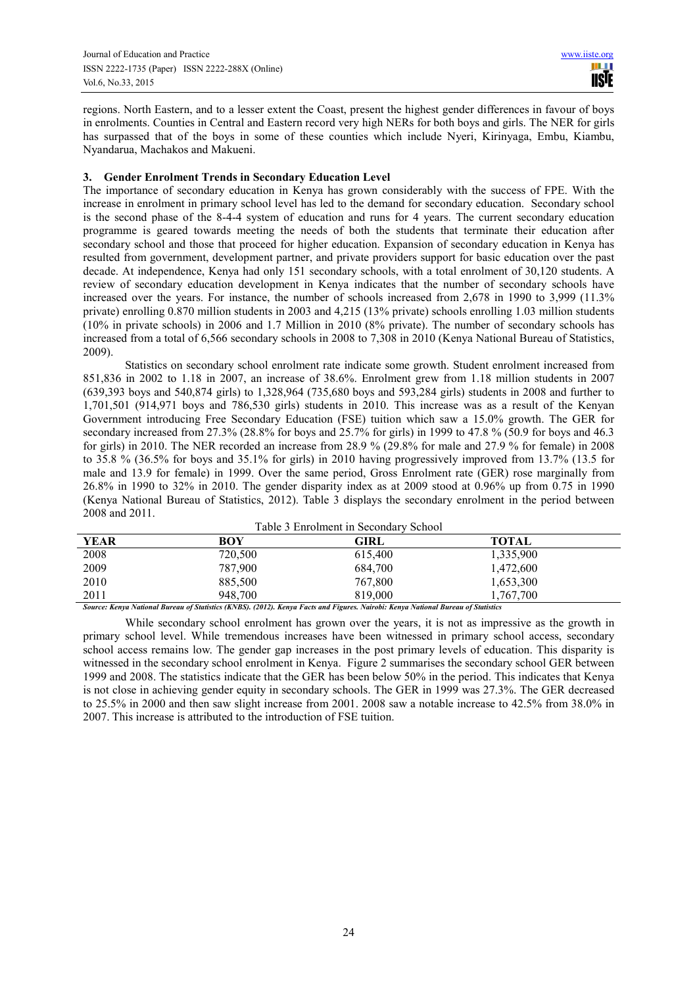regions. North Eastern, and to a lesser extent the Coast, present the highest gender differences in favour of boys in enrolments. Counties in Central and Eastern record very high NERs for both boys and girls. The NER for girls has surpassed that of the boys in some of these counties which include Nyeri, Kirinyaga, Embu, Kiambu, Nyandarua, Machakos and Makueni.

## **3. Gender Enrolment Trends in Secondary Education Level**

The importance of secondary education in Kenya has grown considerably with the success of FPE. With the increase in enrolment in primary school level has led to the demand for secondary education. Secondary school is the second phase of the 8-4-4 system of education and runs for 4 years. The current secondary education programme is geared towards meeting the needs of both the students that terminate their education after secondary school and those that proceed for higher education. Expansion of secondary education in Kenya has resulted from government, development partner, and private providers support for basic education over the past decade. At independence, Kenya had only 151 secondary schools, with a total enrolment of 30,120 students. A review of secondary education development in Kenya indicates that the number of secondary schools have increased over the years. For instance, the number of schools increased from 2,678 in 1990 to 3,999 (11.3% private) enrolling 0.870 million students in 2003 and 4,215 (13% private) schools enrolling 1.03 million students (10% in private schools) in 2006 and 1.7 Million in 2010 (8% private). The number of secondary schools has increased from a total of 6,566 secondary schools in 2008 to 7,308 in 2010 (Kenya National Bureau of Statistics, 2009).

Statistics on secondary school enrolment rate indicate some growth. Student enrolment increased from 851,836 in 2002 to 1.18 in 2007, an increase of 38.6%. Enrolment grew from 1.18 million students in 2007 (639,393 boys and 540,874 girls) to 1,328,964 (735,680 boys and 593,284 girls) students in 2008 and further to 1,701,501 (914,971 boys and 786,530 girls) students in 2010. This increase was as a result of the Kenyan Government introducing Free Secondary Education (FSE) tuition which saw a 15.0% growth. The GER for secondary increased from 27.3% (28.8% for boys and 25.7% for girls) in 1999 to 47.8 % (50.9 for boys and 46.3 for girls) in 2010. The NER recorded an increase from 28.9 % (29.8% for male and 27.9 % for female) in 2008 to 35.8 % (36.5% for boys and 35.1% for girls) in 2010 having progressively improved from 13.7% (13.5 for male and 13.9 for female) in 1999. Over the same period, Gross Enrolment rate (GER) rose marginally from 26.8% in 1990 to 32% in 2010. The gender disparity index as at 2009 stood at 0.96% up from 0.75 in 1990 (Kenya National Bureau of Statistics, 2012). Table 3 displays the secondary enrolment in the period between 2008 and 2011.

|             |                                                                                                                                   | Table 3 Enrolment in Secondary School |           |  |
|-------------|-----------------------------------------------------------------------------------------------------------------------------------|---------------------------------------|-----------|--|
| <b>YEAR</b> | BOY                                                                                                                               | GIRL                                  | TOTAL     |  |
| 2008        | 720,500                                                                                                                           | 615,400                               | 1,335,900 |  |
| 2009        | 787,900                                                                                                                           | 684,700                               | 1,472,600 |  |
| 2010        | 885,500                                                                                                                           | 767,800                               | 1,653,300 |  |
| 2011        | 948,700                                                                                                                           | 819.000                               | 1.767.700 |  |
|             | Source: Kenya National Bureau of Statistics (KNBS). (2012). Kenya Facts and Figures. Nairobi: Kenya National Bureau of Statistics |                                       |           |  |

While secondary school enrolment has grown over the years, it is not as impressive as the growth in primary school level. While tremendous increases have been witnessed in primary school access, secondary school access remains low. The gender gap increases in the post primary levels of education. This disparity is witnessed in the secondary school enrolment in Kenya. Figure 2 summarises the secondary school GER between 1999 and 2008. The statistics indicate that the GER has been below 50% in the period. This indicates that Kenya is not close in achieving gender equity in secondary schools. The GER in 1999 was 27.3%. The GER decreased to 25.5% in 2000 and then saw slight increase from 2001. 2008 saw a notable increase to 42.5% from 38.0% in 2007. This increase is attributed to the introduction of FSE tuition.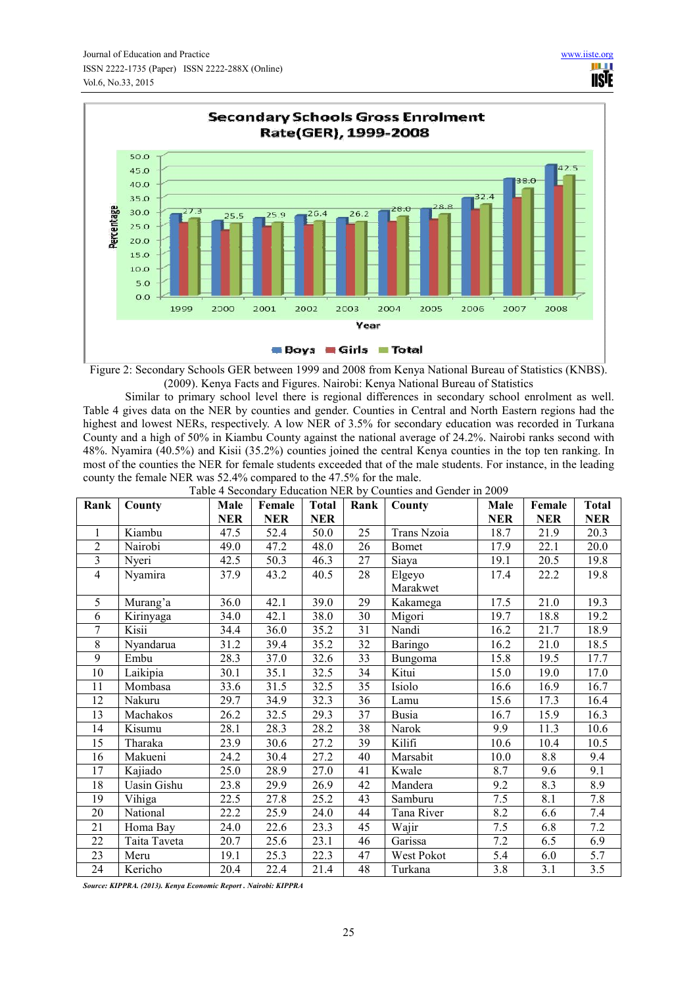

Ш **IISTE** 

Figure 2: Secondary Schools GER between 1999 and 2008 from Kenya National Bureau of Statistics (KNBS). (2009). Kenya Facts and Figures. Nairobi: Kenya National Bureau of Statistics

Similar to primary school level there is regional differences in secondary school enrolment as well. Table 4 gives data on the NER by counties and gender. Counties in Central and North Eastern regions had the highest and lowest NERs, respectively. A low NER of 3.5% for secondary education was recorded in Turkana County and a high of 50% in Kiambu County against the national average of 24.2%. Nairobi ranks second with 48%. Nyamira (40.5%) and Kisii (35.2%) counties joined the central Kenya counties in the top ten ranking. In most of the counties the NER for female students exceeded that of the male students. For instance, in the leading county the female NER was 52.4% compared to the 47.5% for the male.<br>Table 4 Secondary Education NED by Counting at

|                | Table 4 Secondary Education NER by Counties and Gender in 2009 |                                                          |            |            |              |              |            |            |                   |
|----------------|----------------------------------------------------------------|----------------------------------------------------------|------------|------------|--------------|--------------|------------|------------|-------------------|
| Rank           | County                                                         | <b>Total</b><br>County<br>Male<br>Female<br>Rank<br>Male |            | Female     | <b>Total</b> |              |            |            |                   |
|                |                                                                | <b>NER</b>                                               | <b>NER</b> | <b>NER</b> |              |              | <b>NER</b> | <b>NER</b> | <b>NER</b>        |
| $\mathbf{1}$   | Kiambu                                                         | 47.5                                                     | 52.4       | 50.0       | 25           | Trans Nzoia  | 18.7       | 21.9       | 20.3              |
| $\overline{2}$ | Nairobi                                                        | 49.0                                                     | 47.2       | 48.0       | 26           | Bomet        | 17.9       | 22.1       | 20.0              |
| $\overline{3}$ | Nyeri                                                          | 42.5                                                     | 50.3       | 46.3       | 27           | Siaya        | 19.1       | 20.5       | 19.8              |
| $\overline{4}$ | Nyamira                                                        | 37.9                                                     | 43.2       | 40.5       | 28           | Elgeyo       | 17.4       | 22.2       | 19.8              |
|                |                                                                |                                                          |            |            |              | Marakwet     |            |            |                   |
| 5              | Murang'a                                                       | 36.0                                                     | 42.1       | 39.0       | 29           | Kakamega     | 17.5       | 21.0       | 19.3              |
| 6              | Kirinyaga                                                      | 34.0                                                     | 42.1       | 38.0       | 30           | Migori       | 19.7       | 18.8       | 19.2              |
| $\tau$         | Kisii                                                          | 34.4                                                     | 36.0       | 35.2       | 31           | Nandi        | 16.2       | 21.7       | 18.9              |
| 8              | Nyandarua                                                      | 31.2                                                     | 39.4       | 35.2       | 32           | Baringo      | 16.2       | 21.0       | 18.5              |
| 9              | Embu                                                           | 28.3                                                     | 37.0       | 32.6       | 33           | Bungoma      | 15.8       | 19.5       | 17.7              |
| 10             | Laikipia                                                       | 30.1                                                     | 35.1       | 32.5       | 34           | Kitui        | 15.0       | 19.0       | 17.0              |
| 11             | Mombasa                                                        | 33.6                                                     | 31.5       | 32.5       | 35           | Isiolo       | 16.6       | 16.9       | 16.7              |
| 12             | Nakuru                                                         | 29.7                                                     | 34.9       | 32.3       | 36           | Lamu         | 15.6       | 17.3       | 16.4              |
| 13             | Machakos                                                       | 26.2                                                     | 32.5       | 29.3       | 37           | <b>Busia</b> | 16.7       | 15.9       | 16.3              |
| 14             | Kisumu                                                         | 28.1                                                     | 28.3       | 28.2       | 38           | Narok        | 9.9        | 11.3       | 10.6              |
| 15             | Tharaka                                                        | 23.9                                                     | 30.6       | 27.2       | 39           | Kilifi       | 10.6       | 10.4       | 10.5              |
| 16             | Makueni                                                        | 24.2                                                     | 30.4       | 27.2       | 40           | Marsabit     | 10.0       | 8.8        | 9.4               |
| 17             | Kajiado                                                        | 25.0                                                     | 28.9       | 27.0       | 41           | Kwale        | 8.7        | 9.6        | 9.1               |
| 18             | <b>Uasin Gishu</b>                                             | 23.8                                                     | 29.9       | 26.9       | 42           | Mandera      | 9.2        | 8.3        | 8.9               |
| 19             | Vihiga                                                         | 22.5                                                     | 27.8       | 25.2       | 43           | Samburu      | 7.5        | 8.1        | 7.8               |
| 20             | National                                                       | 22.2                                                     | 25.9       | 24.0       | 44           | Tana River   | 8.2        | 6.6        | 7.4               |
| 21             | Homa Bay                                                       | 24.0                                                     | 22.6       | 23.3       | 45           | Wajir        | 7.5        | 6.8        | 7.2               |
| 22             | Taita Taveta                                                   | 20.7                                                     | 25.6       | 23.1       | 46           | Garissa      | 7.2        | 6.5        | 6.9               |
| 23             | Meru                                                           | 19.1                                                     | 25.3       | 22.3       | 47           | West Pokot   | 5.4        | 6.0        | $\overline{5}$ .7 |
| 24             | Kericho                                                        | 20.4                                                     | 22.4       | 21.4       | 48           | Turkana      | 3.8        | 3.1        | 3.5               |

*Source: KIPPRA. (2013). Kenya Economic Report . Nairobi: KIPPRA*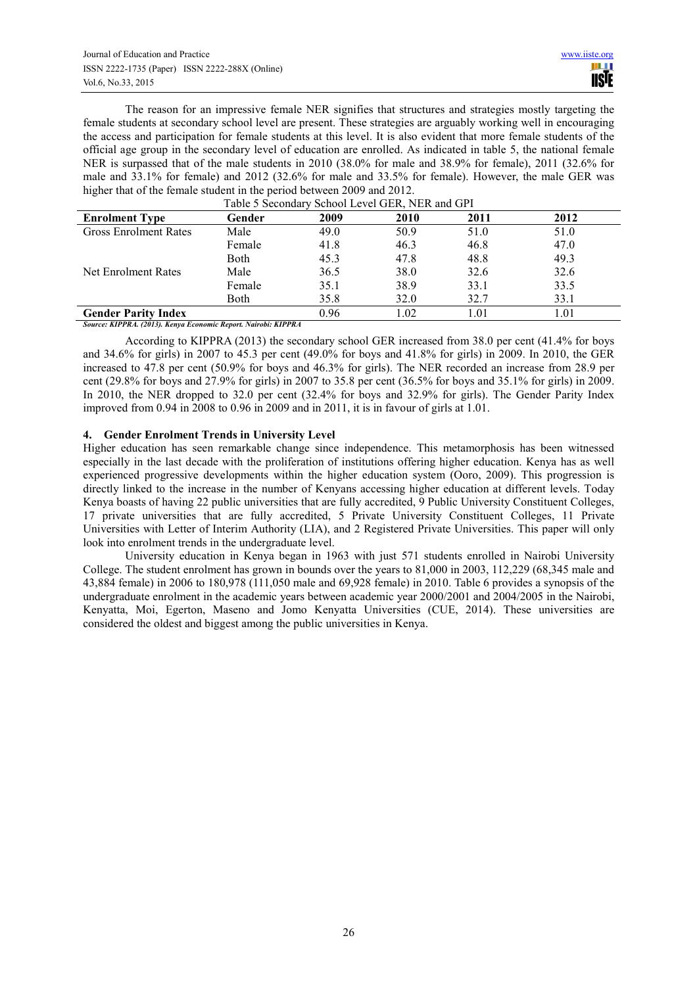The reason for an impressive female NER signifies that structures and strategies mostly targeting the female students at secondary school level are present. These strategies are arguably working well in encouraging the access and participation for female students at this level. It is also evident that more female students of the official age group in the secondary level of education are enrolled. As indicated in table 5, the national female NER is surpassed that of the male students in 2010 (38.0% for male and 38.9% for female), 2011 (32.6% for male and 33.1% for female) and 2012 (32.6% for male and 33.5% for female). However, the male GER was higher that of the female student in the period between 2009 and 2012.

| <b>Enrolment Type</b>        | Gender      | 2009 | <b>2010</b> | 2011 | 2012 |
|------------------------------|-------------|------|-------------|------|------|
| <b>Gross Enrolment Rates</b> | Male        | 49.0 | 50.9        | 51.0 | 51.0 |
|                              | Female      | 41.8 | 46.3        | 46.8 | 47.0 |
|                              | <b>Both</b> | 45.3 | 47.8        | 48.8 | 49.3 |
| Net Enrolment Rates          | Male        | 36.5 | 38.0        | 32.6 | 32.6 |
|                              | Female      | 35.1 | 38.9        | 33.1 | 33.5 |
|                              | Both        | 35.8 | 32.0        | 32.7 | 33.1 |
| <b>Gender Parity Index</b>   |             | 0.96 | l.02        | 1.01 | 1.01 |

Table 5 Secondary School Level GER, NER and GPI

*Source: KIPPRA. (2013). Kenya Economic Report. Nairobi: KIPPRA* 

According to KIPPRA (2013) the secondary school GER increased from 38.0 per cent (41.4% for boys and 34.6% for girls) in 2007 to 45.3 per cent (49.0% for boys and 41.8% for girls) in 2009. In 2010, the GER increased to 47.8 per cent (50.9% for boys and 46.3% for girls). The NER recorded an increase from 28.9 per cent (29.8% for boys and 27.9% for girls) in 2007 to 35.8 per cent (36.5% for boys and 35.1% for girls) in 2009. In 2010, the NER dropped to 32.0 per cent (32.4% for boys and 32.9% for girls). The Gender Parity Index improved from 0.94 in 2008 to 0.96 in 2009 and in 2011, it is in favour of girls at 1.01.

# **4. Gender Enrolment Trends in University Level**

Higher education has seen remarkable change since independence. This metamorphosis has been witnessed especially in the last decade with the proliferation of institutions offering higher education. Kenya has as well experienced progressive developments within the higher education system (Ooro, 2009). This progression is directly linked to the increase in the number of Kenyans accessing higher education at different levels. Today Kenya boasts of having 22 public universities that are fully accredited, 9 Public University Constituent Colleges, 17 private universities that are fully accredited, 5 Private University Constituent Colleges, 11 Private Universities with Letter of Interim Authority (LIA), and 2 Registered Private Universities. This paper will only look into enrolment trends in the undergraduate level.

University education in Kenya began in 1963 with just 571 students enrolled in Nairobi University College. The student enrolment has grown in bounds over the years to 81,000 in 2003, 112,229 (68,345 male and 43,884 female) in 2006 to 180,978 (111,050 male and 69,928 female) in 2010. Table 6 provides a synopsis of the undergraduate enrolment in the academic years between academic year 2000/2001 and 2004/2005 in the Nairobi, Kenyatta, Moi, Egerton, Maseno and Jomo Kenyatta Universities (CUE, 2014). These universities are considered the oldest and biggest among the public universities in Kenya.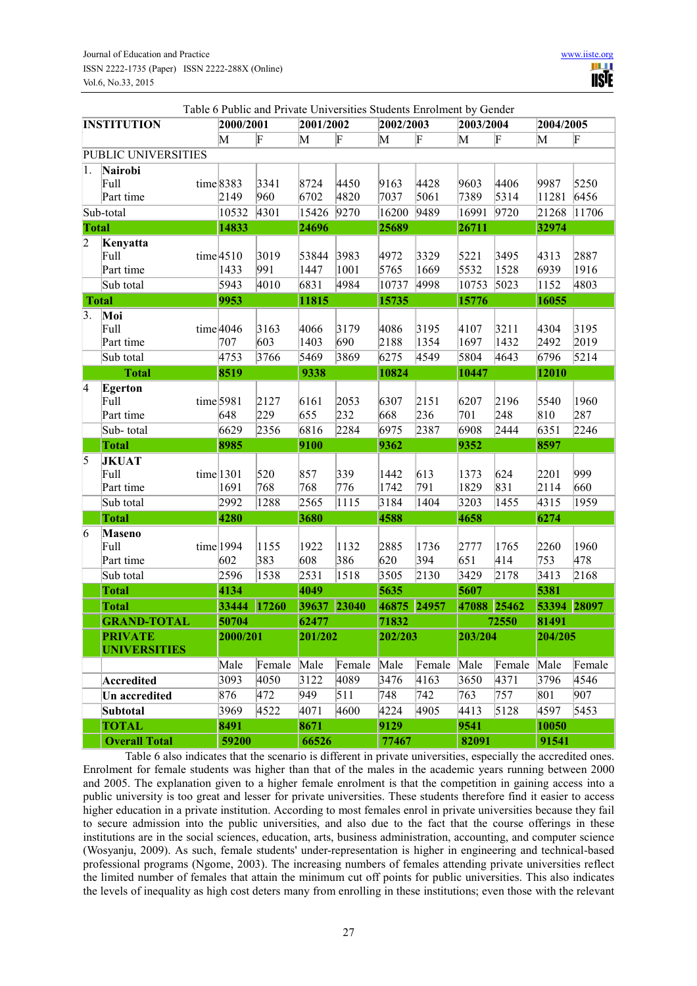|                          |                      |             |                         |           |        |           | Table 6 Public and Private Universities Students Enrolment by Gender |              |        |           |        |
|--------------------------|----------------------|-------------|-------------------------|-----------|--------|-----------|----------------------------------------------------------------------|--------------|--------|-----------|--------|
|                          | <b>INSTITUTION</b>   | 2000/2001   |                         | 2001/2002 |        | 2002/2003 |                                                                      | 2003/2004    |        | 2004/2005 |        |
|                          |                      | M           | $\overline{\mathrm{F}}$ | M         | F      | M         | F                                                                    | M            | F      | M         | F      |
|                          | PUBLIC UNIVERSITIES  |             |                         |           |        |           |                                                                      |              |        |           |        |
| 1.                       | Nairobi              |             |                         |           |        |           |                                                                      |              |        |           |        |
|                          | Full                 | $time$ 8383 | 3341                    | 8724      | 4450   | 9163      | 4428                                                                 | 9603         | 4406   | 9987      | 5250   |
|                          | Part time            | 2149        | 960                     | 6702      | 4820   | 7037      | 5061                                                                 | 7389         | 5314   | 11281     | 6456   |
|                          | Sub-total            | 10532       | 4301                    | 15426     | 9270   | 16200     | 9489                                                                 | 16991        | 9720   | 21268     | 11706  |
| <b>Total</b>             |                      | 14833       |                         | 24696     |        | 25689     |                                                                      | 26711        |        | 32974     |        |
| $\overline{2}$           | Kenyatta             |             |                         |           |        |           |                                                                      |              |        |           |        |
|                          | Full                 | time 4510   | 3019                    | 53844     | 3983   | 4972      | 3329                                                                 | 5221         | 3495   | 4313      | 2887   |
|                          | Part time            | 1433        | 991                     | 1447      | 1001   | 5765      | 1669                                                                 | 5532         | 1528   | 6939      | 1916   |
|                          | Sub total            | 5943        | 4010                    | 6831      | 4984   | 10737     | 4998                                                                 | 10753        | 5023   | 1152      | 4803   |
|                          | <b>Total</b>         | 9953        |                         | 11815     |        | 15735     |                                                                      | 15776        |        | 16055     |        |
| 3.                       | Moi                  |             |                         |           |        |           |                                                                      |              |        |           |        |
|                          | Full                 | time $4046$ | 3163                    | 4066      | 3179   | 4086      | 3195                                                                 | 4107         | 3211   | 4304      | 3195   |
|                          | Part time            | 707         | 603                     | 1403      | 690    | 2188      | 1354                                                                 | 1697         | 1432   | 2492      | 2019   |
|                          | Sub total            | 4753        | 3766                    | 5469      | 3869   | 6275      | 4549                                                                 | 5804         | 4643   | 6796      | 5214   |
|                          | <b>Total</b>         | 8519        |                         | 9338      |        | 10824     |                                                                      | 10447        |        | 12010     |        |
| $\overline{\mathcal{A}}$ | <b>Egerton</b>       |             |                         |           |        |           |                                                                      |              |        |           |        |
|                          | Full                 | time 5981   | 2127                    | 6161      | 2053   | 6307      | 2151                                                                 | 6207         | 2196   | 5540      | 1960   |
|                          | Part time            | 648         | 229                     | 655       | 232    | 668       | 236                                                                  | 701          | 248    | 810       | 287    |
|                          | Sub-total            | 6629        | 2356                    | 6816      | 2284   | 6975      | 2387                                                                 | 6908         | 2444   | 6351      | 2246   |
|                          | <b>Total</b>         | 8985        |                         | 9100      |        | 9362      |                                                                      | 9352         |        | 8597      |        |
| 5                        | <b>JKUAT</b><br>Full | time 1301   | 520                     | 857       | 339    | 1442      | 613                                                                  |              | 624    | 2201      | 999    |
|                          | Part time            | 1691        | 768                     | 768       | 776    | 1742      | 791                                                                  | 1373<br>1829 | 831    | 2114      | 660    |
|                          | Sub total            | 2992        | 1288                    | 2565      | 1115   | 3184      | 1404                                                                 | 3203         | 1455   | 4315      | 1959   |
|                          | <b>Total</b>         | 4280        |                         | 3680      |        | 4588      |                                                                      | 4658         |        | 6274      |        |
| 6                        | <b>Maseno</b>        |             |                         |           |        |           |                                                                      |              |        |           |        |
|                          | Full                 | time 1994   | 1155                    | 1922      | 1132   | 2885      | 1736                                                                 | 2777         | 1765   | 2260      | 1960   |
|                          | Part time            | 602         | 383                     | 608       | 386    | 620       | 394                                                                  | 651          | 414    | 753       | 478    |
|                          | Sub total            | 2596        | 1538                    | 2531      | 1518   | 3505      | 2130                                                                 | 3429         | 2178   | 3413      | 2168   |
|                          | <b>Total</b>         | 4134        |                         | 4049      |        | 5635      |                                                                      | 5607         |        | 5381      |        |
|                          | <b>Total</b>         | 33444       | 17260                   | 39637     | 23040  | 46875     | 24957                                                                | 47088        | 25462  | 53394     | 28097  |
|                          | <b>GRAND-TOTAL</b>   | 50704       |                         | 62477     |        | 71832     |                                                                      |              | 72550  | 81491     |        |
|                          | <b>PRIVATE</b>       | 2000/201    |                         | 201/202   |        | 202/203   |                                                                      | 203/204      |        | 204/205   |        |
|                          | <b>UNIVERSITIES</b>  |             |                         |           |        |           |                                                                      |              |        |           |        |
|                          |                      | Male        | Female Male             |           | Female | Male      | Female                                                               | Male         | Female | Male      | Female |
|                          | Accredited           | 3093        | 4050                    | 3122      | 4089   | 3476      | 4163                                                                 | 3650         | 4371   | 3796      | 4546   |
|                          | Un accredited        | 876         | 472                     | 949       | 511    | 748       | 742                                                                  | 763          | 757    | 801       | 907    |
|                          | Subtotal             | 3969        | 4522                    | 4071      | 4600   | 4224      | 4905                                                                 | 4413         | 5128   | 4597      | 5453   |
|                          | <b>TOTAL</b>         | 8491        |                         | 8671      |        | 9129      |                                                                      | 9541         |        | 10050     |        |
|                          | <b>Overall Total</b> | 59200       |                         | 66526     |        | 77467     |                                                                      | 82091        |        | 91541     |        |

Table 6 also indicates that the scenario is different in private universities, especially the accredited ones. Enrolment for female students was higher than that of the males in the academic years running between 2000 and 2005. The explanation given to a higher female enrolment is that the competition in gaining access into a public university is too great and lesser for private universities. These students therefore find it easier to access higher education in a private institution. According to most females enrol in private universities because they fail to secure admission into the public universities, and also due to the fact that the course offerings in these institutions are in the social sciences, education, arts, business administration, accounting, and computer science (Wosyanju, 2009). As such, female students' under-representation is higher in engineering and technical-based professional programs (Ngome, 2003). The increasing numbers of females attending private universities reflect the limited number of females that attain the minimum cut off points for public universities. This also indicates the levels of inequality as high cost deters many from enrolling in these institutions; even those with the relevant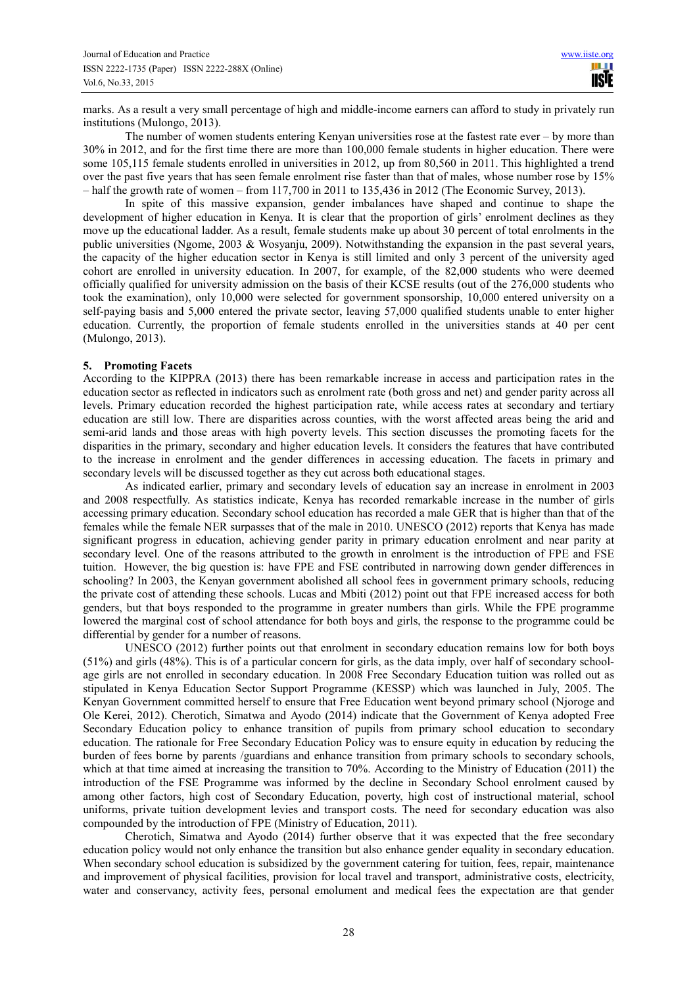marks. As a result a very small percentage of high and middle-income earners can afford to study in privately run institutions (Mulongo, 2013).

The number of women students entering Kenyan universities rose at the fastest rate ever – by more than 30% in 2012, and for the first time there are more than 100,000 female students in higher education. There were some 105,115 female students enrolled in universities in 2012, up from 80,560 in 2011. This highlighted a trend over the past five years that has seen female enrolment rise faster than that of males, whose number rose by 15% – half the growth rate of women – from 117,700 in 2011 to 135,436 in 2012 (The Economic Survey, 2013).

In spite of this massive expansion, gender imbalances have shaped and continue to shape the development of higher education in Kenya. It is clear that the proportion of girls' enrolment declines as they move up the educational ladder. As a result, female students make up about 30 percent of total enrolments in the public universities (Ngome, 2003 & Wosyanju, 2009). Notwithstanding the expansion in the past several years, the capacity of the higher education sector in Kenya is still limited and only 3 percent of the university aged cohort are enrolled in university education. In 2007, for example, of the 82,000 students who were deemed officially qualified for university admission on the basis of their KCSE results (out of the 276,000 students who took the examination), only 10,000 were selected for government sponsorship, 10,000 entered university on a self-paying basis and 5,000 entered the private sector, leaving 57,000 qualified students unable to enter higher education. Currently, the proportion of female students enrolled in the universities stands at 40 per cent (Mulongo, 2013).

### **5. Promoting Facets**

According to the KIPPRA (2013) there has been remarkable increase in access and participation rates in the education sector as reflected in indicators such as enrolment rate (both gross and net) and gender parity across all levels. Primary education recorded the highest participation rate, while access rates at secondary and tertiary education are still low. There are disparities across counties, with the worst affected areas being the arid and semi-arid lands and those areas with high poverty levels. This section discusses the promoting facets for the disparities in the primary, secondary and higher education levels. It considers the features that have contributed to the increase in enrolment and the gender differences in accessing education. The facets in primary and secondary levels will be discussed together as they cut across both educational stages.

As indicated earlier, primary and secondary levels of education say an increase in enrolment in 2003 and 2008 respectfully. As statistics indicate, Kenya has recorded remarkable increase in the number of girls accessing primary education. Secondary school education has recorded a male GER that is higher than that of the females while the female NER surpasses that of the male in 2010. UNESCO (2012) reports that Kenya has made significant progress in education, achieving gender parity in primary education enrolment and near parity at secondary level. One of the reasons attributed to the growth in enrolment is the introduction of FPE and FSE tuition. However, the big question is: have FPE and FSE contributed in narrowing down gender differences in schooling? In 2003, the Kenyan government abolished all school fees in government primary schools, reducing the private cost of attending these schools. Lucas and Mbiti (2012) point out that FPE increased access for both genders, but that boys responded to the programme in greater numbers than girls. While the FPE programme lowered the marginal cost of school attendance for both boys and girls, the response to the programme could be differential by gender for a number of reasons.

UNESCO (2012) further points out that enrolment in secondary education remains low for both boys (51%) and girls (48%). This is of a particular concern for girls, as the data imply, over half of secondary schoolage girls are not enrolled in secondary education. In 2008 Free Secondary Education tuition was rolled out as stipulated in Kenya Education Sector Support Programme (KESSP) which was launched in July, 2005. The Kenyan Government committed herself to ensure that Free Education went beyond primary school (Njoroge and Ole Kerei, 2012). Cherotich, Simatwa and Ayodo (2014) indicate that the Government of Kenya adopted Free Secondary Education policy to enhance transition of pupils from primary school education to secondary education. The rationale for Free Secondary Education Policy was to ensure equity in education by reducing the burden of fees borne by parents /guardians and enhance transition from primary schools to secondary schools, which at that time aimed at increasing the transition to 70%. According to the Ministry of Education (2011) the introduction of the FSE Programme was informed by the decline in Secondary School enrolment caused by among other factors, high cost of Secondary Education, poverty, high cost of instructional material, school uniforms, private tuition development levies and transport costs. The need for secondary education was also compounded by the introduction of FPE (Ministry of Education, 2011).

Cherotich, Simatwa and Ayodo (2014) further observe that it was expected that the free secondary education policy would not only enhance the transition but also enhance gender equality in secondary education. When secondary school education is subsidized by the government catering for tuition, fees, repair, maintenance and improvement of physical facilities, provision for local travel and transport, administrative costs, electricity, water and conservancy, activity fees, personal emolument and medical fees the expectation are that gender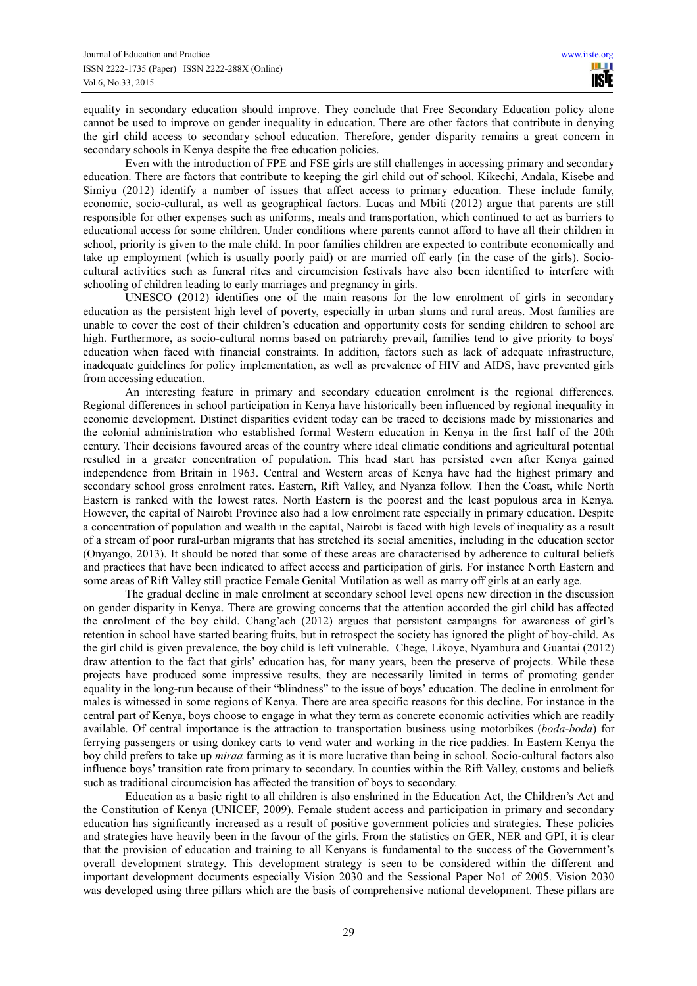equality in secondary education should improve. They conclude that Free Secondary Education policy alone cannot be used to improve on gender inequality in education. There are other factors that contribute in denying the girl child access to secondary school education. Therefore, gender disparity remains a great concern in secondary schools in Kenya despite the free education policies.

Even with the introduction of FPE and FSE girls are still challenges in accessing primary and secondary education. There are factors that contribute to keeping the girl child out of school. Kikechi, Andala, Kisebe and Simiyu (2012) identify a number of issues that affect access to primary education. These include family, economic, socio-cultural, as well as geographical factors. Lucas and Mbiti (2012) argue that parents are still responsible for other expenses such as uniforms, meals and transportation, which continued to act as barriers to educational access for some children. Under conditions where parents cannot afford to have all their children in school, priority is given to the male child. In poor families children are expected to contribute economically and take up employment (which is usually poorly paid) or are married off early (in the case of the girls). Sociocultural activities such as funeral rites and circumcision festivals have also been identified to interfere with schooling of children leading to early marriages and pregnancy in girls.

UNESCO (2012) identifies one of the main reasons for the low enrolment of girls in secondary education as the persistent high level of poverty, especially in urban slums and rural areas. Most families are unable to cover the cost of their children's education and opportunity costs for sending children to school are high. Furthermore, as socio-cultural norms based on patriarchy prevail, families tend to give priority to boys' education when faced with financial constraints. In addition, factors such as lack of adequate infrastructure, inadequate guidelines for policy implementation, as well as prevalence of HIV and AIDS, have prevented girls from accessing education.

An interesting feature in primary and secondary education enrolment is the regional differences. Regional differences in school participation in Kenya have historically been influenced by regional inequality in economic development. Distinct disparities evident today can be traced to decisions made by missionaries and the colonial administration who established formal Western education in Kenya in the first half of the 20th century. Their decisions favoured areas of the country where ideal climatic conditions and agricultural potential resulted in a greater concentration of population. This head start has persisted even after Kenya gained independence from Britain in 1963. Central and Western areas of Kenya have had the highest primary and secondary school gross enrolment rates. Eastern, Rift Valley, and Nyanza follow. Then the Coast, while North Eastern is ranked with the lowest rates. North Eastern is the poorest and the least populous area in Kenya. However, the capital of Nairobi Province also had a low enrolment rate especially in primary education. Despite a concentration of population and wealth in the capital, Nairobi is faced with high levels of inequality as a result of a stream of poor rural-urban migrants that has stretched its social amenities, including in the education sector (Onyango, 2013). It should be noted that some of these areas are characterised by adherence to cultural beliefs and practices that have been indicated to affect access and participation of girls. For instance North Eastern and some areas of Rift Valley still practice Female Genital Mutilation as well as marry off girls at an early age.

The gradual decline in male enrolment at secondary school level opens new direction in the discussion on gender disparity in Kenya. There are growing concerns that the attention accorded the girl child has affected the enrolment of the boy child. Chang'ach (2012) argues that persistent campaigns for awareness of girl's retention in school have started bearing fruits, but in retrospect the society has ignored the plight of boy-child. As the girl child is given prevalence, the boy child is left vulnerable. Chege, Likoye, Nyambura and Guantai (2012) draw attention to the fact that girls' education has, for many years, been the preserve of projects. While these projects have produced some impressive results, they are necessarily limited in terms of promoting gender equality in the long-run because of their "blindness" to the issue of boys' education. The decline in enrolment for males is witnessed in some regions of Kenya. There are area specific reasons for this decline. For instance in the central part of Kenya, boys choose to engage in what they term as concrete economic activities which are readily available. Of central importance is the attraction to transportation business using motorbikes (*boda-boda*) for ferrying passengers or using donkey carts to vend water and working in the rice paddies. In Eastern Kenya the boy child prefers to take up *miraa* farming as it is more lucrative than being in school. Socio-cultural factors also influence boys' transition rate from primary to secondary. In counties within the Rift Valley, customs and beliefs such as traditional circumcision has affected the transition of boys to secondary.

Education as a basic right to all children is also enshrined in the Education Act, the Children's Act and the Constitution of Kenya (UNICEF, 2009). Female student access and participation in primary and secondary education has significantly increased as a result of positive government policies and strategies. These policies and strategies have heavily been in the favour of the girls. From the statistics on GER, NER and GPI, it is clear that the provision of education and training to all Kenyans is fundamental to the success of the Government's overall development strategy. This development strategy is seen to be considered within the different and important development documents especially Vision 2030 and the Sessional Paper No1 of 2005. Vision 2030 was developed using three pillars which are the basis of comprehensive national development. These pillars are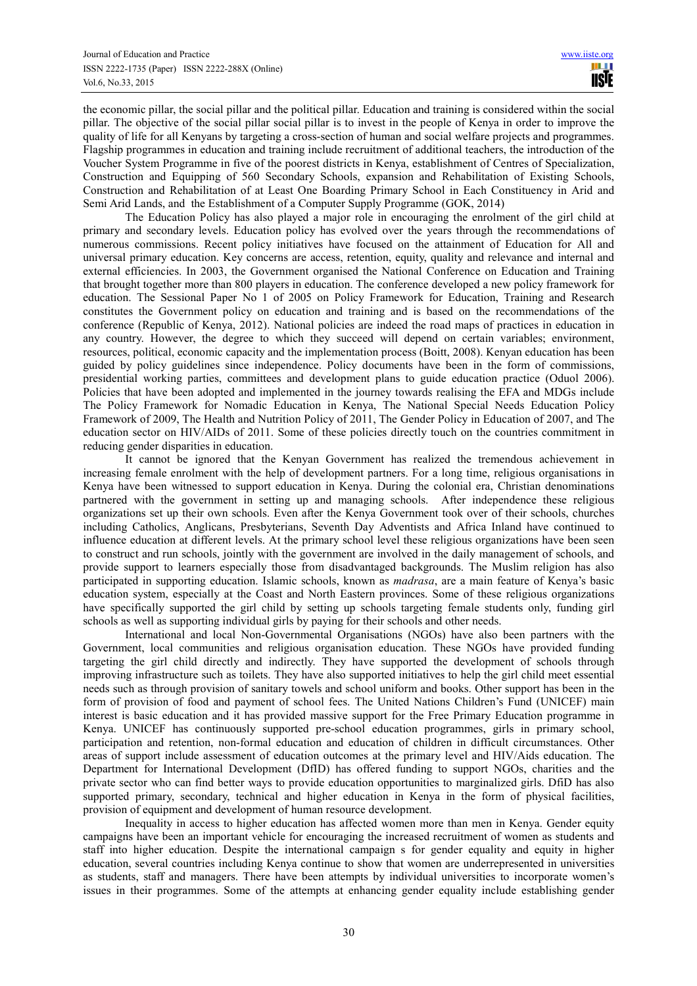the economic pillar, the social pillar and the political pillar. Education and training is considered within the social pillar. The objective of the social pillar social pillar is to invest in the people of Kenya in order to improve the quality of life for all Kenyans by targeting a cross-section of human and social welfare projects and programmes. Flagship programmes in education and training include recruitment of additional teachers, the introduction of the Voucher System Programme in five of the poorest districts in Kenya, establishment of Centres of Specialization, Construction and Equipping of 560 Secondary Schools, expansion and Rehabilitation of Existing Schools, Construction and Rehabilitation of at Least One Boarding Primary School in Each Constituency in Arid and Semi Arid Lands, and the Establishment of a Computer Supply Programme (GOK, 2014)

The Education Policy has also played a major role in encouraging the enrolment of the girl child at primary and secondary levels. Education policy has evolved over the years through the recommendations of numerous commissions. Recent policy initiatives have focused on the attainment of Education for All and universal primary education. Key concerns are access, retention, equity, quality and relevance and internal and external efficiencies. In 2003, the Government organised the National Conference on Education and Training that brought together more than 800 players in education. The conference developed a new policy framework for education. The Sessional Paper No 1 of 2005 on Policy Framework for Education, Training and Research constitutes the Government policy on education and training and is based on the recommendations of the conference (Republic of Kenya, 2012). National policies are indeed the road maps of practices in education in any country. However, the degree to which they succeed will depend on certain variables; environment, resources, political, economic capacity and the implementation process (Boitt, 2008). Kenyan education has been guided by policy guidelines since independence. Policy documents have been in the form of commissions, presidential working parties, committees and development plans to guide education practice (Oduol 2006). Policies that have been adopted and implemented in the journey towards realising the EFA and MDGs include The Policy Framework for Nomadic Education in Kenya, The National Special Needs Education Policy Framework of 2009, The Health and Nutrition Policy of 2011, The Gender Policy in Education of 2007, and The education sector on HIV/AIDs of 2011. Some of these policies directly touch on the countries commitment in reducing gender disparities in education.

It cannot be ignored that the Kenyan Government has realized the tremendous achievement in increasing female enrolment with the help of development partners. For a long time, religious organisations in Kenya have been witnessed to support education in Kenya. During the colonial era, Christian denominations partnered with the government in setting up and managing schools. After independence these religious organizations set up their own schools. Even after the Kenya Government took over of their schools, churches including Catholics, Anglicans, Presbyterians, Seventh Day Adventists and Africa Inland have continued to influence education at different levels. At the primary school level these religious organizations have been seen to construct and run schools, jointly with the government are involved in the daily management of schools, and provide support to learners especially those from disadvantaged backgrounds. The Muslim religion has also participated in supporting education. Islamic schools, known as *madrasa*, are a main feature of Kenya's basic education system, especially at the Coast and North Eastern provinces. Some of these religious organizations have specifically supported the girl child by setting up schools targeting female students only, funding girl schools as well as supporting individual girls by paying for their schools and other needs.

International and local Non-Governmental Organisations (NGOs) have also been partners with the Government, local communities and religious organisation education. These NGOs have provided funding targeting the girl child directly and indirectly. They have supported the development of schools through improving infrastructure such as toilets. They have also supported initiatives to help the girl child meet essential needs such as through provision of sanitary towels and school uniform and books. Other support has been in the form of provision of food and payment of school fees. The United Nations Children's Fund (UNICEF) main interest is basic education and it has provided massive support for the Free Primary Education programme in Kenya. UNICEF has continuously supported pre-school education programmes, girls in primary school, participation and retention, non-formal education and education of children in difficult circumstances. Other areas of support include assessment of education outcomes at the primary level and HIV/Aids education. The Department for International Development (DfID) has offered funding to support NGOs, charities and the private sector who can find better ways to provide education opportunities to marginalized girls. DfiD has also supported primary, secondary, technical and higher education in Kenya in the form of physical facilities, provision of equipment and development of human resource development.

Inequality in access to higher education has affected women more than men in Kenya. Gender equity campaigns have been an important vehicle for encouraging the increased recruitment of women as students and staff into higher education. Despite the international campaign s for gender equality and equity in higher education, several countries including Kenya continue to show that women are underrepresented in universities as students, staff and managers. There have been attempts by individual universities to incorporate women's issues in their programmes. Some of the attempts at enhancing gender equality include establishing gender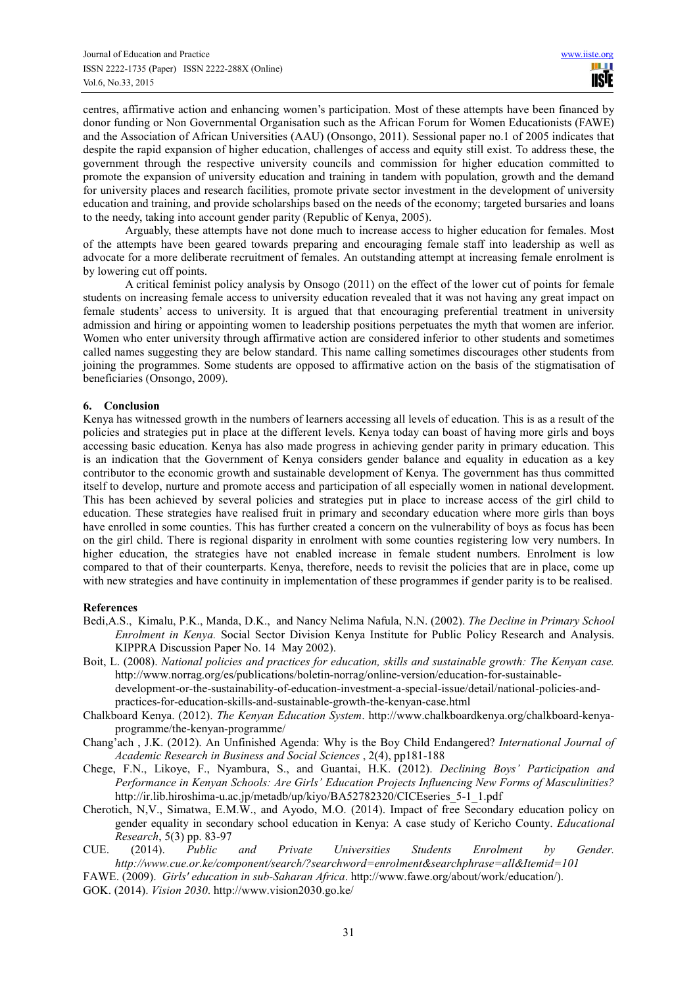centres, affirmative action and enhancing women's participation. Most of these attempts have been financed by donor funding or Non Governmental Organisation such as the African Forum for Women Educationists (FAWE) and the Association of African Universities (AAU) (Onsongo, 2011). Sessional paper no.1 of 2005 indicates that despite the rapid expansion of higher education, challenges of access and equity still exist. To address these, the government through the respective university councils and commission for higher education committed to promote the expansion of university education and training in tandem with population, growth and the demand for university places and research facilities, promote private sector investment in the development of university education and training, and provide scholarships based on the needs of the economy; targeted bursaries and loans to the needy, taking into account gender parity (Republic of Kenya, 2005).

Arguably, these attempts have not done much to increase access to higher education for females. Most of the attempts have been geared towards preparing and encouraging female staff into leadership as well as advocate for a more deliberate recruitment of females. An outstanding attempt at increasing female enrolment is by lowering cut off points.

A critical feminist policy analysis by Onsogo (2011) on the effect of the lower cut of points for female students on increasing female access to university education revealed that it was not having any great impact on female students' access to university. It is argued that that encouraging preferential treatment in university admission and hiring or appointing women to leadership positions perpetuates the myth that women are inferior. Women who enter university through affirmative action are considered inferior to other students and sometimes called names suggesting they are below standard. This name calling sometimes discourages other students from joining the programmes. Some students are opposed to affirmative action on the basis of the stigmatisation of beneficiaries (Onsongo, 2009).

# **6. Conclusion**

Kenya has witnessed growth in the numbers of learners accessing all levels of education. This is as a result of the policies and strategies put in place at the different levels. Kenya today can boast of having more girls and boys accessing basic education. Kenya has also made progress in achieving gender parity in primary education. This is an indication that the Government of Kenya considers gender balance and equality in education as a key contributor to the economic growth and sustainable development of Kenya. The government has thus committed itself to develop, nurture and promote access and participation of all especially women in national development. This has been achieved by several policies and strategies put in place to increase access of the girl child to education. These strategies have realised fruit in primary and secondary education where more girls than boys have enrolled in some counties. This has further created a concern on the vulnerability of boys as focus has been on the girl child. There is regional disparity in enrolment with some counties registering low very numbers. In higher education, the strategies have not enabled increase in female student numbers. Enrolment is low compared to that of their counterparts. Kenya, therefore, needs to revisit the policies that are in place, come up with new strategies and have continuity in implementation of these programmes if gender parity is to be realised.

# **References**

- Bedi,A.S., Kimalu, P.K., Manda, D.K., and Nancy Nelima Nafula, N.N. (2002). *The Decline in Primary School Enrolment in Kenya.* Social Sector Division Kenya Institute for Public Policy Research and Analysis. KIPPRA Discussion Paper No. 14 May 2002).
- Boit, L. (2008). *National policies and practices for education, skills and sustainable growth: The Kenyan case.* http://www.norrag.org/es/publications/boletin-norrag/online-version/education-for-sustainabledevelopment-or-the-sustainability-of-education-investment-a-special-issue/detail/national-policies-andpractices-for-education-skills-and-sustainable-growth-the-kenyan-case.html
- Chalkboard Kenya. (2012). *The Kenyan Education System*. http://www.chalkboardkenya.org/chalkboard-kenyaprogramme/the-kenyan-programme/
- Chang'ach , J.K. (2012). An Unfinished Agenda: Why is the Boy Child Endangered? *International Journal of Academic Research in Business and Social Sciences* , 2(4), pp181-188
- Chege, F.N., Likoye, F., Nyambura, S., and Guantai, H.K. (2012). *Declining Boys' Participation and Performance in Kenyan Schools: Are Girls' Education Projects Influencing New Forms of Masculinities?* http://ir.lib.hiroshima-u.ac.jp/metadb/up/kiyo/BA52782320/CICEseries\_5-1\_1.pdf
- Cherotich, N,V., Simatwa, E.M.W., and Ayodo, M.O. (2014). Impact of free Secondary education policy on gender equality in secondary school education in Kenya: A case study of Kericho County. *Educational Research*, 5(3) pp. 83-97

CUE. (2014). *Public and Private Universities Students Enrolment by Gender. http://www.cue.or.ke/component/search/?searchword=enrolment&searchphrase=all&Itemid=101* 

- FAWE. (2009). *Girls' education in sub-Saharan Africa*. http://www.fawe.org/about/work/education/).
- GOK. (2014). *Vision 2030*. http://www.vision2030.go.ke/